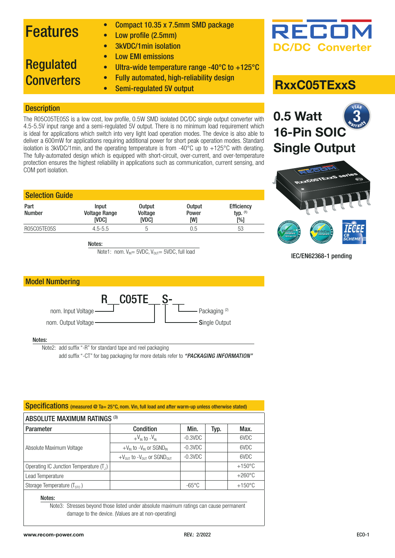### Features

- Compact 10.35 x 7.5mm SMD package
- Low profile (2.5mm)
	- 3kVDC/1min isolation

The R05C05TE05S is a low cost, low profile, 0.5W SMD isolated DC/DC single output converter with 4.5-5.5V input range and a semi-regulated 5V output. There is no minimum load requirement which is ideal for applications which switch into very light load operation modes. The device is also able to deliver a 600mW for applications requiring additional power for short peak operation modes. Standard isolation is 3kVDC/1min, and the operating temperature is from -40°C up to +125°C with derating. The fully-automated design which is equipped with short-circuit, over-current, and over-temperature protection ensures the highest reliability in applications such as communication, current sensing, and

• Low EMI emissions

### Regulated **Converters**

**Description** 

COM port isolation.

- Ultra-wide temperature range -40°C to +125°C • Fully automated, high-reliability design
- Semi-regulated 5V output

## **RxxC05TExxS**

### **0.5 Watt 16-Pin SOIC Single Output** 3

**DC/DC Converter**

RECO



IEC/EN62368-1 pending

| <b>Input</b><br><b>Voltage Range</b><br><b>IVDC1</b> | <b>Output</b><br>Voltage<br><b>IVDC1</b> | <b>Output</b><br>Power<br>[W] | <b>Efficiency</b><br>typ. $(1)$<br>$N_{0}$ |
|------------------------------------------------------|------------------------------------------|-------------------------------|--------------------------------------------|
| $4.5 - 5.5$                                          | h                                        | 0.5                           | 53                                         |
|                                                      |                                          |                               |                                            |

Notes:

Note1: nom.  $V_{\text{IN}} = 5VDC$ ,  $V_{\text{OUT}} = 5VDC$ , full load



#### Notes:

Note2: add suffix "-R" for standard tape and reel packaging

add suffix "-CT" for bag packaging for more details refer to *"PACKAGING INFORMATION"*

| <b>ABSOLUTE MAXIMUM RATINGS (3)</b>       |                                                                |                 |      |                  |  |
|-------------------------------------------|----------------------------------------------------------------|-----------------|------|------------------|--|
| Parameter                                 | Condition                                                      | Min.            | Typ. | Max.             |  |
| Absolute Maximum Voltage                  | $+V_{\text{IN}}$ to $-V_{\text{IN}}$                           | $-0.3$ VDC      |      | 6VDC             |  |
|                                           | $+V_{IN}$ to $-V_{IN}$ or SGND <sub>IN</sub>                   | $-0.3$ VDC      |      | 6VDC             |  |
|                                           | $+V_{\text{OIT}}$ to $-V_{\text{OIT}}$ or SGND $_{\text{OIT}}$ | $-0.3$ VDC      |      | 6VDC             |  |
| Operating IC Junction Temperature $(T_1)$ |                                                                |                 |      | $+150^{\circ}$ C |  |
| Lead Temperature                          |                                                                |                 |      | $+260^{\circ}$ C |  |
| Storage Temperature $(T_{\rm STO})$       |                                                                | $-65^{\circ}$ C |      | $+150^{\circ}$ C |  |

Note3: Stresses beyond those listed under absolute maximum ratings can cause permanent damage to the device. (Values are at non-operating)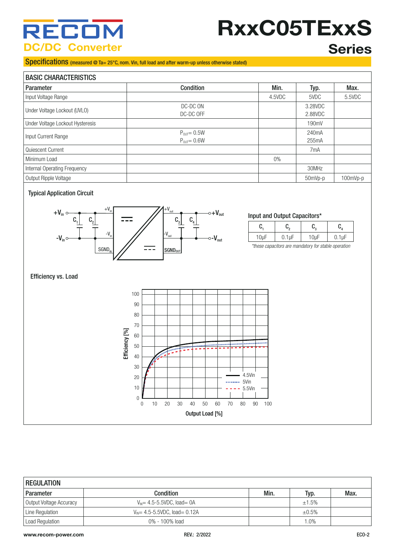# RECO **C/DC Converter**

# **RxxC05TExxS**

### Specifications (measured @ Ta= 25°C, nom. Vin, full load and after warm-up unless otherwise stated)

### **Series**

### RASIC CHARACTERISTICS

| <b>DAJIU UHAHAUTENJITUJ</b>      |                  |        |                    |            |
|----------------------------------|------------------|--------|--------------------|------------|
| Parameter                        | <b>Condition</b> | Min.   | Typ.               | Max.       |
| Input Voltage Range              |                  | 4.5VDC | 5VDC               | 5.5VDC     |
| Under Voltage Lockout (UVLO)     | DC-DC ON         |        | 3.28VDC            |            |
|                                  | DC-DC OFF        |        | 2.88VDC            |            |
| Under Voltage Lockout Hysteresis |                  |        | 190mV              |            |
|                                  | $P_{OUT} = 0.5W$ |        | 240 <sub>m</sub> A |            |
| Input Current Range              | $P_{OUT} = 0.6W$ |        | 255mA              |            |
| l Quiescent Current              |                  |        | 7 <sub>m</sub> A   |            |
| l Minimum Load                   |                  | $0\%$  |                    |            |
| Internal Operating Frequency     |                  |        | 30MHz              |            |
| Output Ripple Voltage            |                  |        | 50mVp-p            | $100mVp-p$ |

### Typical Application Circuit



#### Input and Output Capacitors\*

|  | ы. |  |
|--|----|--|

*\*these capacitors are mandatory for stable operation*

#### Efficiency vs. Load



| <b>REGULATION</b>       |                                               |      |         |      |
|-------------------------|-----------------------------------------------|------|---------|------|
| Parameter               | <b>Condition</b>                              | Min. | Typ.    | Max. |
| Output Voltage Accuracy | $V_{\text{IN}}$ = 4.5-5.5VDC, load = 0A       |      | ±1.5%   |      |
| Line Regulation         | $V_{\text{IN}} = 4.5 - 5.5$ VDC, load = 0.12A |      | ±0.5%   |      |
| Load Regulation         | 0% - 100% load                                |      | $0\%$ . |      |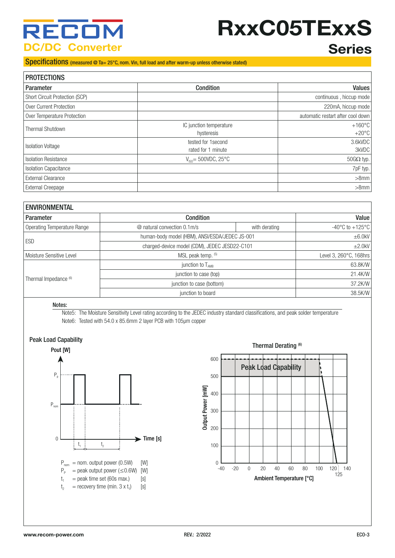## RECI **C/DC Converter**

# **RxxC05TExxS**

### **Series**

### Specifications (measured @ Ta= 25°C, nom. Vin, full load and after warm-up unless otherwise stated)

| <b>PROTECTIONS</b>             |                                           |                                     |  |
|--------------------------------|-------------------------------------------|-------------------------------------|--|
| Parameter                      | <b>Condition</b>                          | Values                              |  |
| Short Circuit Protection (SCP) |                                           | continuous, hiccup mode             |  |
| Over Current Protection        |                                           | 220mA, hiccup mode                  |  |
| Over Temperature Protection    |                                           | automatic restart after cool down   |  |
| Thermal Shutdown               | IC junction temperature<br>hysteresis     | $+160^{\circ}$ C<br>$+20^{\circ}$ C |  |
| <b>Isolation Voltage</b>       | tested for 1 second<br>rated for 1 minute | 3.6kVDC<br>3kVDC                    |  |
| <b>Isolation Resistance</b>    | $V_{\text{iso}}$ = 500VDC, 25°C           | $50G\Omega$ typ.                    |  |
| <b>Isolation Capacitance</b>   |                                           | 7pF typ.                            |  |
| <b>External Clearance</b>      |                                           | $>8$ mm                             |  |
| External Creepage              |                                           | $>8$ mm                             |  |

| <b>ENVIRONMENTAL</b>        |                                                |               |                                     |  |
|-----------------------------|------------------------------------------------|---------------|-------------------------------------|--|
| <b>Parameter</b>            | <b>Condition</b>                               |               |                                     |  |
| Operating Temperature Range | @ natural convection 0.1m/s                    | with derating | $-40^{\circ}$ C to $+125^{\circ}$ C |  |
| ESD                         | human-body model (HBM), ANSI/ESDA/JEDEC JS-001 |               | $\pm 6.0$ kV                        |  |
|                             | charged-device model (CDM), JEDEC JESD22-C101  |               | $\pm 2.0$ kV                        |  |
| Moisture Sensitive Level    | MSL peak temp. (5)                             |               | Level 3, 260°C, 168hrs              |  |
|                             | junction to $T_{AMB}$                          |               | 63.8K/W                             |  |
| Thermal Impedance (6)       | junction to case (top)                         |               | 21.4K/W                             |  |
|                             | junction to case (bottom)                      |               | 37.2K/W                             |  |
|                             | junction to board                              |               |                                     |  |

#### Notes:

Note5: The Moisture Sensitivity Level rating according to the JEDEC industry standard classifications, and peak solder temperature Note6: Tested with 54.0 x 85.6mm 2 layer PCB with 105µm copper



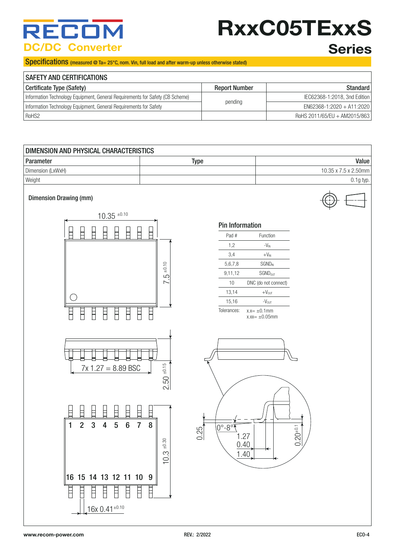# RECO **DC/DC Converter**

# **RxxC05TExxS Series**

### Specifications (measured @ Ta= 25°C, nom. Vin, full load and after warm-up unless otherwise stated)

| <b>SAFETY AND CERTIFICATIONS</b>                                              |                      |                              |  |
|-------------------------------------------------------------------------------|----------------------|------------------------------|--|
| Certificate Type (Safety)                                                     | <b>Report Number</b> | Standard                     |  |
| Information Technology Equipment, General Requirements for Safety (CB Scheme) |                      | IEC62368-1:2018, 3nd Edition |  |
| Information Technology Equipment, General Requirements for Safety             | pending              | $EN62368-1:2020 + A11:2020$  |  |
| RoHS2                                                                         |                      | RoHS 2011/65/EU + AM2015/863 |  |